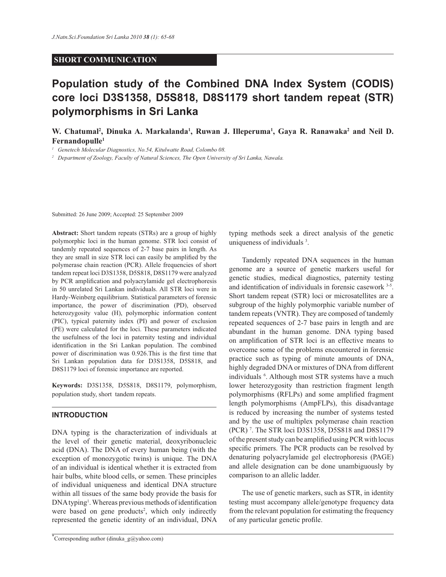#### **SHORT COMMUNICATION**

# **Population study of the Combined DNA Index System (CODIS) core loci D3S1358, D5S818, D8S1179 short tandem repeat (STR) polymorphisms in Sri Lanka**

W. Chatumal<sup>2</sup>, Dinuka A. Markalanda<sup>1</sup>, Ruwan J. Illeperuma<sup>1</sup>, Gaya R. Ranawaka<sup>2</sup> and Neil D. **Fernandopulle<sup>1</sup>**

*<sup>1</sup>Genetech Molecular Diagnostics, No.54, Kitulwatte Road, Colombo 08.*

*2 Department of Zoology, Faculty of Natural Sciences, The Open University of Sri Lanka, Nawala.*

Submitted: 26 June 2009; Accepted: 25 September 2009

**Abstract:** Short tandem repeats (STRs) are a group of highly polymorphic loci in the human genome. STR loci consist of tandemly repeated sequences of 2-7 base pairs in length. As they are small in size STR loci can easily be amplified by the polymerase chain reaction (PCR). Allele frequencies of short tandem repeat loci D3S1358, D5S818, D8S1179 were analyzed by PCR amplification and polyacrylamide gel electrophoresis in 50 unrelated Sri Lankan individuals. All STR loci were in Hardy-Weinberg equilibrium. Statistical parameters of forensic importance, the power of discrimination (PD), observed heterozygosity value (H), polymorphic information content (PIC), typical paternity index (PI) and power of exclusion (PE) were calculated for the loci. These parameters indicated the usefulness of the loci in paternity testing and individual identification in the Sri Lankan population. The combined power of discrimination was 0.926.This is the first time that Sri Lankan population data for D3S1358, D5S818, and D8S1179 loci of forensic importance are reported.

**Keywords:** D3S1358, D5S818, D8S1179, polymorphism, population study, short tandem repeats.

# **INTRODUCTION**

DNA typing is the characterization of individuals at the level of their genetic material, deoxyribonucleic acid (DNA). The DNA of every human being (with the exception of monozygotic twins) is unique. The DNA of an individual is identical whether it is extracted from hair bulbs, white blood cells, or semen. These principles of individual uniqueness and identical DNA structure within all tissues of the same body provide the basis for DNA typing<sup>1</sup>. Whereas previous methods of identification were based on gene products<sup>2</sup>, which only indirectly represented the genetic identity of an individual, DNA

\*Corresponding author (dinuka  $g(\partial y)$ ahoo.com)

typing methods seek a direct analysis of the genetic uniqueness of individuals<sup>3</sup>.

 Tandemly repeated DNA sequences in the human genome are a source of genetic markers useful for genetic studies, medical diagnostics, paternity testing and identification of individuals in forensic casework 3-5 . Short tandem repeat (STR) loci or microsatellites are a subgroup of the highly polymorphic variable number of tandem repeats (VNTR). They are composed of tandemly repeated sequences of 2-7 base pairs in length and are abundant in the human genome. DNA typing based on amplification of STR loci is an effective means to overcome some of the problems encountered in forensic practice such as typing of minute amounts of DNA, highly degraded DNA or mixtures of DNA from different individuals <sup>6</sup>. Although most STR systems have a much lower heterozygosity than restriction fragment length polymorphisms (RFLPs) and some amplified fragment length polymorphisms (AmpFLPs), this disadvantage is reduced by increasing the number of systems tested and by the use of multiplex polymerase chain reaction (PCR) <sup>7</sup> . The STR loci D3S1358, D5S818 and D8S1179 of the present study can be amplified using PCR with locus specific primers. The PCR products can be resolved by denaturing polyacrylamide gel electrophoresis (PAGE) and allele designation can be done unambiguously by comparison to an allelic ladder.

 The use of genetic markers, such as STR, in identity testing must accompany allele/genotype frequency data from the relevant population for estimating the frequency of any particular genetic profile.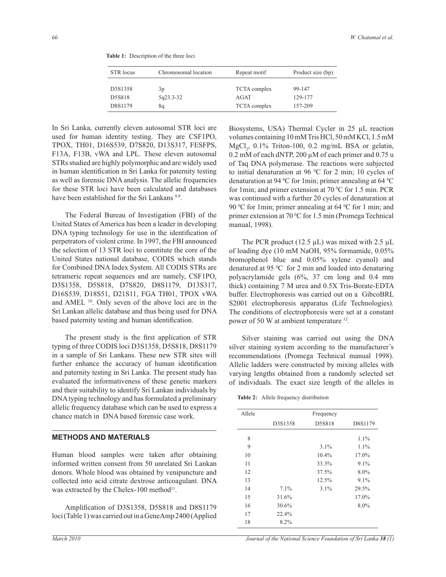| STR locus | Chromosomal location | Repeat motif | Product size (bp) |
|-----------|----------------------|--------------|-------------------|
| D3S1358   | 3p                   | TCTA complex | 99-147            |
| D5S818    | 5q23.3-32            | AGAT         | 129-177           |
| D8S1179   | 8q                   | TCTA complex | 157-209           |

**Table 1:** Description of the three loci

In Sri Lanka, currently eleven autosomal STR loci are used for human identity testing. They are CSF1PO, TPOX, TH01, D16S539, D7S820, D13S317, FESFPS, F13A, F13B, vWA and LPL. These eleven autosomal STRs studied are highly polymorphic and are widely used in human identification in Sri Lanka for paternity testing as well as forensic DNA analysis. The allelic frequencies for these STR loci have been calculated and databases have been established for the Sri Lankans <sup>8,9</sup>.

 The Federal Bureau of Investigation (FBI) of the United States of America has been a leader in developing DNA typing technology for use in the identification of perpetrators of violent crime. In 1997, the FBI announced the selection of 13 STR loci to constitute the core of the United States national database, CODIS which stands for Combined DNA Index System. All CODIS STRs are tetrameric repeat sequences and are namely, CSF1PO, D3S1358, D5S818, D7S820, D8S1179, D13S317, D16S539, D18S51, D21S11, FGA TH01, TPOX vWA and AMEL <sup>10</sup>. Only seven of the above loci are in the Sri Lankan allelic database and thus being used for DNA based paternity testing and human identification.

 The present study is the first application of STR typing of three CODIS loci D3S1358, D5S818, D8S1179 in a sample of Sri Lankans. These new STR sites will further enhance the accuracy of human identification and paternity testing in Sri Lanka. The present study has evaluated the informativeness of these genetic markers and their suitability to identify Sri Lankan individuals by DNA typing technology and has formulated a preliminary allelic frequency database which can be used to express a chance match in DNA based forensic case work.

## **METHODS AND MATERIALS**

Human blood samples were taken after obtaining informed written consent from 50 unrelated Sri Lankan donors. Whole blood was obtained by venipuncture and collected into acid citrate dextrose anticoagulant. DNA was extracted by the Chelex-100 method<sup>11</sup>.

 Amplification of D3S1358, D5S818 and D8S1179 loci (Table 1) was carried out in a GeneAmp 2400 (Applied Biosystems, USA) Thermal Cycler in 25 µL reaction volumes containing 10 mM Tris HCl, 50 mM KCl, 1.5 mM  $MgCl<sub>2</sub>$ , 0.1% Triton-100, 0.2 mg/mL BSA or gelatin, 0.2 mM of each dNTP, 200 µM of each primer and 0.75 u of Taq DNA polymerase. The reactions were subjected to initial denaturation at 96  $^{\circ}$ C for 2 min; 10 cycles of denaturation at 94  $\rm{^0C}$  for 1min; primer annealing at 64  $\rm{^0C}$ for 1min; and primer extension at 70  $^{\circ}$ C for 1.5 min. PCR was continued with a further 20 cycles of denaturation at 90 °C for 1 min; primer annealing at 64 °C for 1 min; and primer extension at 70 °C for 1.5 min (Promega Technical manual, 1998).

The PCR product  $(12.5 \text{ µL})$  was mixed with  $2.5 \text{ µL}$ of loading dye (10 mM NaOH, 95% formamide, 0.05% bromophenol blue and 0.05% xylene cyanol) and denatured at 95 °C for 2 min and loaded into denaturing polyacrylamide gels (6%, 37 cm long and 0.4 mm thick) containing 7 M urea and 0.5X Tris-Borate-EDTA buffer. Electrophoresis was carried out on a GibcoBRL S2001 electrophoresis apparatus (Life Technologies). The conditions of electrophoresis were set at a constant power of 50 W at ambient temperature <sup>12</sup>.

 Silver staining was carried out using the DNA silver staining system according to the manufacturer's recommendations (Promega Technical manual 1998). Allelic ladders were constructed by mixing alleles with varying lengths obtained from a randomly selected set of individuals. The exact size length of the alleles in

**Table 2:** Allele frequency distribution

| Allele | Frequency |        |         |  |  |
|--------|-----------|--------|---------|--|--|
|        | D3S1358   | D5S818 | D8S1179 |  |  |
| 8      |           |        | $1.1\%$ |  |  |
| 9      |           | 3.1%   | $1.1\%$ |  |  |
| 10     |           | 10.4%  | 17.0%   |  |  |
| 11     |           | 33.3%  | $9.1\%$ |  |  |
| 12     |           | 37.5%  | $8.0\%$ |  |  |
| 13     |           | 12.5%  | $9.1\%$ |  |  |
| 14     | 7.1%      | 3.1%   | 29.5%   |  |  |
| 15     | 31.6%     |        | 17.0%   |  |  |
| 16     | 30.6%     |        | $8.0\%$ |  |  |
| 17     | 22.4%     |        |         |  |  |
| 18     | 8.2%      |        |         |  |  |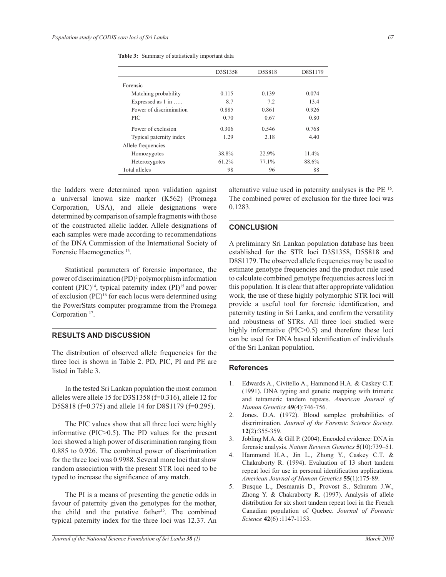|  |  |  | Table 3: Summary of statistically important data |
|--|--|--|--------------------------------------------------|
|--|--|--|--------------------------------------------------|

|                         | D3S1358  | D5S818 | D8S1179  |
|-------------------------|----------|--------|----------|
| Forensic                |          |        |          |
| Matching probability    | 0.115    | 0.139  | 0.074    |
| Expressed as $1$ in     | 8.7      | 7.2    | 13.4     |
| Power of discrimination | 0.885    | 0.861  | 0.926    |
| <b>PIC</b>              | 0.70     | 0.67   | 0.80     |
| Power of exclusion      | 0.306    | 0.546  | 0.768    |
| Typical paternity index | 1.29     | 2.18   | 4.40     |
| Allele frequencies      |          |        |          |
| Homozygotes             | 38.8%    | 22.9%  | $11.4\%$ |
| Heterozygotes           | $61.2\%$ | 77.1%  | 88.6%    |
| Total alleles           | 98       | 96     | 88       |

the ladders were determined upon validation against a universal known size marker (K562) (Promega Corporation, USA), and allele designations were determined by comparison of sample fragments with those of the constructed allelic ladder. Allele designations of each samples were made according to recommendations of the DNA Commission of the International Society of Forensic Haemogenetics<sup>13</sup>.

 Statistical parameters of forensic importance, the power of discrimination (PD)<sup>2</sup> polymorphism information content (PIC)<sup>14</sup>, typical paternity index (PI)<sup>15</sup> and power of exclusion (PE)<sup>16</sup> for each locus were determined using the PowerStats computer programme from the Promega Corporation<sup>17</sup>.

# **RESULTS AND DISCUSSION**

The distribution of observed allele frequencies for the three loci is shown in Table 2. PD, PIC, PI and PE are listed in Table 3.

 In the tested Sri Lankan population the most common alleles were allele 15 for D3S1358 (f=0.316), allele 12 for D5S818 (f=0.375) and allele 14 for D8S1179 (f=0.295).

 The PIC values show that all three loci were highly informative (PIC>0.5). The PD values for the present loci showed a high power of discrimination ranging from 0.885 to 0.926. The combined power of discrimination for the three loci was 0.9988. Several more loci that show random association with the present STR loci need to be typed to increase the significance of any match.

 The PI is a means of presenting the genetic odds in favour of paternity given the genotypes for the mother, the child and the putative father<sup>15</sup>. The combined typical paternity index for the three loci was 12.37. An

alternative value used in paternity analyses is the PE <sup>16</sup> . The combined power of exclusion for the three loci was 0.1283.

## **CONCLUSION**

A preliminary Sri Lankan population database has been established for the STR loci D3S1358, D5S818 and D8S1179. The observed allele frequencies may be used to estimate genotype frequencies and the product rule used to calculate combined genotype frequencies across loci in this population. It is clear that after appropriate validation work, the use of these highly polymorphic STR loci will provide a useful tool for forensic identification, and paternity testing in Sri Lanka, and confirm the versatility and robustness of STRs. All three loci studied were highly informative (PIC>0.5) and therefore these loci can be used for DNA based identification of individuals of the Sri Lankan population.

#### **References**

- 1. Edwards A., Civitello A., Hammond H.A. & Caskey C.T. (1991). DNA typing and genetic mapping with trimeric and tetrameric tandem repeats. *American Journal of Human Genetics* **49**(4):746-756.
- 2. Jones. D.A. (1972). Blood samples: probabilities of discrimination. *Journal of the Forensic Science Society*. **12**(2):355-359.
- 3. Jobling M.A. & Gill P. (2004). Encoded evidence: DNA in forensic analysis. *Nature Reviews Genetics* **5**(10):739–51.
- 4. Hammond H.A., Jin L., Zhong Y., Caskey C.T. & Chakraborty R. (1994). Evaluation of 13 short tandem repeat loci for use in personal identification applications. *American Journal of Human Genetics* **55**(1):175-89.
- 5. Busque L., Desmarais D., Provost S., Schumm J.W., Zhong Y. & Chakraborty R. (1997). Analysis of allele distribution for six short tandem repeat loci in the French Canadian population of Quebec. *Journal of Forensic Science* **42**(6) :1147-1153.